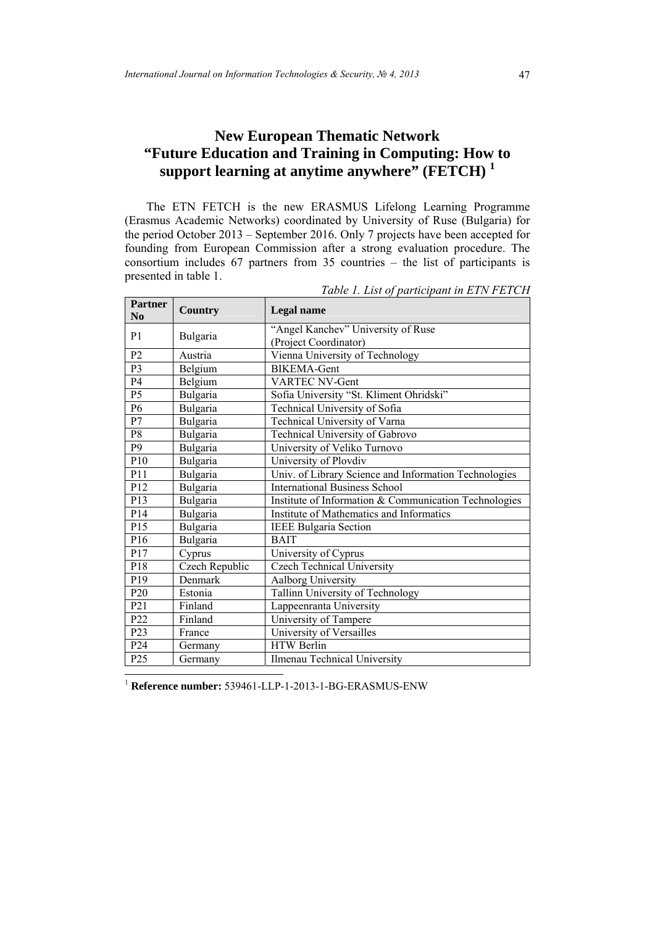# **New European Thematic Network "Future Education and Training in Computing: How to support learning at anytime anywhere" (FETCH) <sup>1</sup>**

The ETN FETCH is the new ERASMUS Lifelong Learning Programme (Erasmus Academic Networks) coordinated by University of Ruse (Bulgaria) for the period October 2013 – September 2016. Only 7 projects have been accepted for founding from European Commission after a strong evaluation procedure. The consortium includes 67 partners from 35 countries – the list of participants is presented in table 1.

| <b>Partner</b><br>N <sub>0</sub> | <b>Country</b> | <b>Legal name</b>                                     |
|----------------------------------|----------------|-------------------------------------------------------|
| P <sub>1</sub>                   | Bulgaria       | "Angel Kanchev" University of Ruse                    |
|                                  |                | (Project Coordinator)                                 |
| P <sub>2</sub>                   | Austria        | Vienna University of Technology                       |
| P3                               | Belgium        | <b>BIKEMA-Gent</b>                                    |
| <b>P4</b>                        | Belgium        | <b>VARTEC NV-Gent</b>                                 |
| P <sub>5</sub>                   | Bulgaria       | Sofia University "St. Kliment Ohridski"               |
| P <sub>6</sub>                   | Bulgaria       | Technical University of Sofia                         |
| P7                               | Bulgaria       | Technical University of Varna                         |
| P8                               | Bulgaria       | Technical University of Gabrovo                       |
| P <sub>9</sub>                   | Bulgaria       | University of Veliko Turnovo                          |
| P10                              | Bulgaria       | University of Plovdiv                                 |
| P11                              | Bulgaria       | Univ. of Library Science and Information Technologies |
| P <sub>12</sub>                  | Bulgaria       | <b>International Business School</b>                  |
| P13                              | Bulgaria       | Institute of Information & Communication Technologies |
| P14                              | Bulgaria       | Institute of Mathematics and Informatics              |
| P <sub>15</sub>                  | Bulgaria       | <b>IEEE Bulgaria Section</b>                          |
| P <sub>16</sub>                  | Bulgaria       | <b>BAIT</b>                                           |
| P17                              | Cyprus         | University of Cyprus                                  |
| P18                              | Czech Republic | <b>Czech Technical University</b>                     |
| P <sub>19</sub>                  | Denmark        | Aalborg University                                    |
| P <sub>20</sub>                  | Estonia        | Tallinn University of Technology                      |
| P <sub>21</sub>                  | Finland        | Lappeenranta University                               |
| P <sub>22</sub>                  | Finland        | University of Tampere                                 |
| P <sub>2</sub> 3                 | France         | University of Versailles                              |
| P <sub>24</sub>                  | Germany        | <b>HTW Berlin</b>                                     |
| P <sub>25</sub>                  | Germany        | Ilmenau Technical University                          |

*Table 1. List of participant in ETN FETCH* 

<sup>1</sup> **Reference number:** 539461-LLP-1-2013-1-BG-ERASMUS-ENW

 $\overline{\phantom{a}}$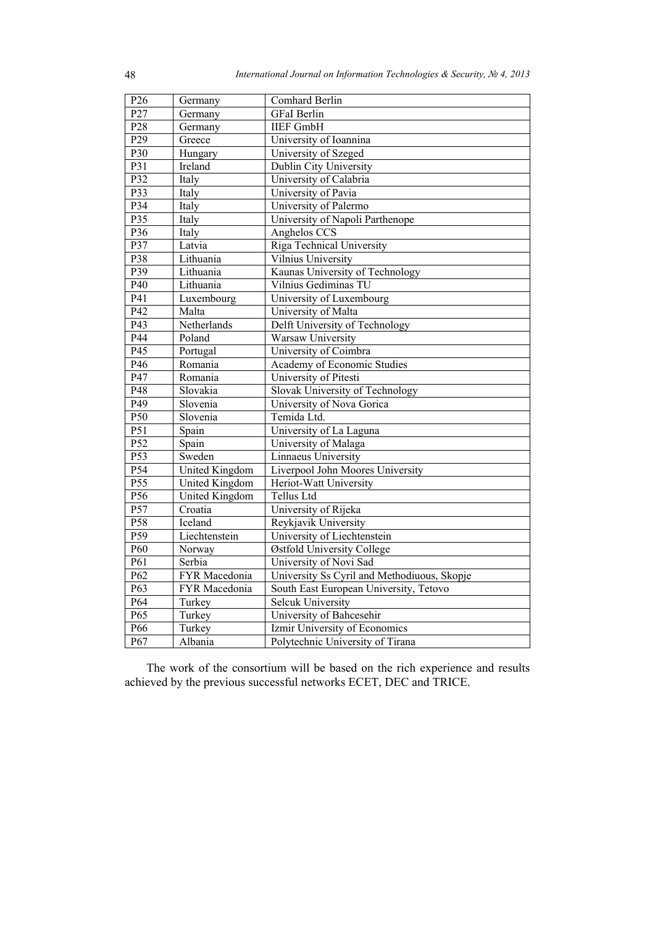| P <sub>26</sub>  | Germany               | Comhard Berlin                              |
|------------------|-----------------------|---------------------------------------------|
| P27              | Germany               | <b>GFaI</b> Berlin                          |
| P <sub>28</sub>  | Germany               | <b>IIEF GmbH</b>                            |
| P <sub>29</sub>  | Greece                | University of Ioannina                      |
| P30              | Hungary               | University of Szeged                        |
| P31              | Ireland               | Dublin City University                      |
| P32              | Italy                 | University of Calabria                      |
| P33              | Italy                 | University of Pavia                         |
| P34              | Italy                 | University of Palermo                       |
| $\overline{P35}$ | Italy                 | University of Napoli Parthenope             |
| P36              | Italy                 | Anghelos CCS                                |
| P37              | Latvia                | Riga Technical University                   |
| P38              | Lithuania             | Vilnius University                          |
| P39              | Lithuania             | Kaunas University of Technology             |
| P40              | Lithuania             | Vilnius Gediminas TU                        |
| P41              | Luxembourg            | University of Luxembourg                    |
| $\overline{P42}$ | Malta                 | University of Malta                         |
| P43              | Netherlands           | Delft University of Technology              |
| P44              | Poland                | Warsaw University                           |
| P45              | Portugal              | University of Coimbra                       |
| P46              | Romania               | <b>Academy of Economic Studies</b>          |
| $\overline{P47}$ | Romania               | University of Pitesti                       |
| P48              | Slovakia              | Slovak University of Technology             |
| P49              | Slovenia              | University of Nova Gorica                   |
| P <sub>50</sub>  | Slovenia              | Temida Ltd.                                 |
| P51              | Spain                 | University of La Laguna                     |
| P <sub>52</sub>  | Spain                 | University of Malaga                        |
| P53              | Sweden                | Linnaeus University                         |
| P <sub>54</sub>  | <b>United Kingdom</b> | Liverpool John Moores University            |
| P <sub>55</sub>  | United Kingdom        | Heriot-Watt University                      |
| P <sub>56</sub>  | <b>United Kingdom</b> | <b>Tellus Ltd</b>                           |
| P <sub>57</sub>  | Croatia               | University of Rijeka                        |
| P <sub>58</sub>  | Iceland               | Reykjavik University                        |
| P <sub>59</sub>  | Liechtenstein         | University of Liechtenstein                 |
| P <sub>60</sub>  | Norway                | Østfold University College                  |
| $\overline{P61}$ | Serbia                | University of Novi Sad                      |
| P62              | FYR Macedonia         | University Ss Cyril and Methodiuous, Skopje |
| P63              | FYR Macedonia         | South East European University, Tetovo      |
| P <sub>64</sub>  | Turkey                | Selcuk University                           |
| $\overline{P65}$ | Turkey                | University of Bahcesehir                    |
| P66              | Turkey                | Izmir University of Economics               |
| P67              | Albania               | Polytechnic University of Tirana            |

The work of the consortium will be based on the rich experience and results achieved by the previous successful networks ECET, DEC and TRICE.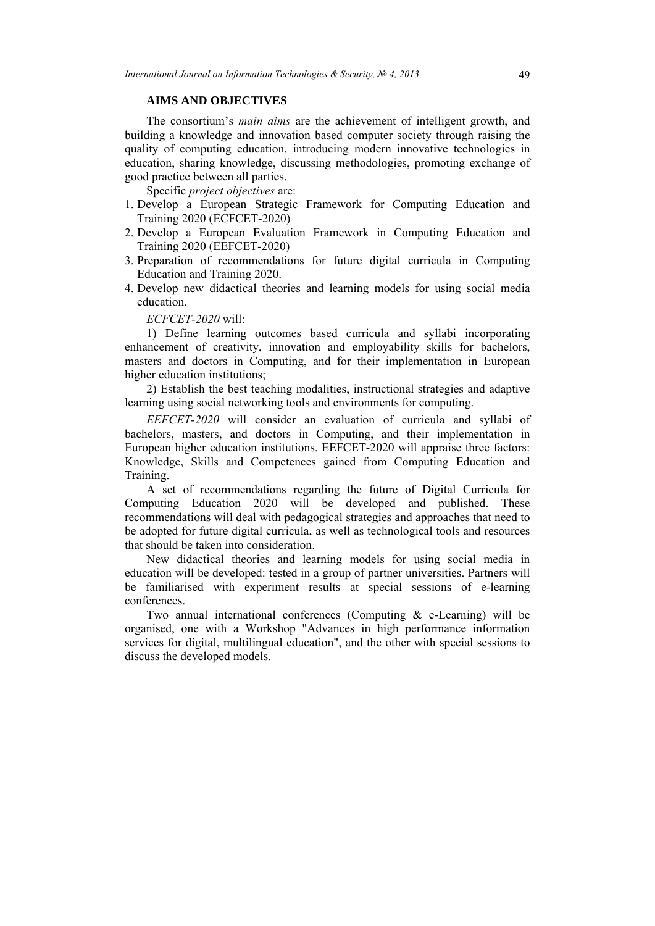### **AIMS AND OBJECTIVES**

The consortium's *main aims* are the achievement of intelligent growth, and building a knowledge and innovation based computer society through raising the quality of computing education, introducing modern innovative technologies in education, sharing knowledge, discussing methodologies, promoting exchange of good practice between all parties.

Specific *project objectives* are:

- 1. Develop a European Strategic Framework for Computing Education and Training 2020 (EСFCET-2020)
- 2. Develop a European Evaluation Framework in Computing Education and Training 2020 (EEFCET-2020)
- 3. Preparation of recommendations for future digital curricula in Computing Education and Training 2020.
- 4. Develop new didactical theories and learning models for using social media education.

*EСFCET-2020* will:

1) Define learning outcomes based curricula and syllabi incorporating enhancement of creativity, innovation and employability skills for bachelors, masters and doctors in Computing, and for their implementation in European higher education institutions;

2) Establish the best teaching modalities, instructional strategies and adaptive learning using social networking tools and environments for computing.

*EEFCET-2020* will consider an evaluation of curricula and syllabi of bachelors, masters, and doctors in Computing, and their implementation in European higher education institutions. EEFCET-2020 will appraise three factors: Knowledge, Skills and Competences gained from Computing Education and Training.

A set of recommendations regarding the future of Digital Curricula for Computing Education 2020 will be developed and published. These recommendations will deal with pedagogical strategies and approaches that need to be adopted for future digital curricula, as well as technological tools and resources that should be taken into consideration.

New didactical theories and learning models for using social media in education will be developed: tested in a group of partner universities. Partners will be familiarised with experiment results at special sessions of e-learning conferences.

Two annual international conferences (Computing & e-Learning) will be organised, one with a Workshop "Advances in high performance information services for digital, multilingual education", and the other with special sessions to discuss the developed models.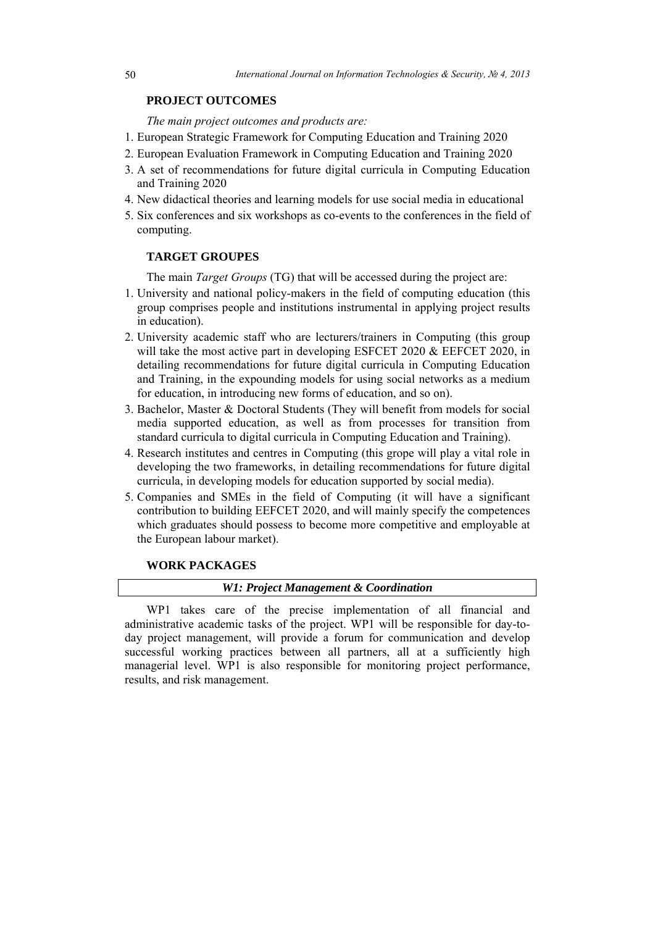### **PROJECT OUTCOMES**

*The main project outcomes and products are:* 

- 1. European Strategic Framework for Computing Education and Training 2020
- 2. European Evaluation Framework in Computing Education and Training 2020
- 3. А set of recommendations for future digital curricula in Computing Education and Training 2020
- 4. New didactical theories and learning models for use social media in educational
- 5. Six conferences and six workshops as co-events to the conferences in the field of computing.

#### **TARGET GROUPES**

The main *Target Groups* (TG) that will be accessed during the project are:

- 1. University and national policy-makers in the field of computing education (this group comprises people and institutions instrumental in applying project results in education).
- 2. University academic staff who are lecturers/trainers in Computing (this group will take the most active part in developing ESFCET 2020 & EEFCET 2020, in detailing recommendations for future digital curricula in Computing Education and Training, in the expounding models for using social networks as a medium for education, in introducing new forms of education, and so on).
- 3. Bachelor, Master & Doctoral Students (They will benefit from models for social media supported education, as well as from processes for transition from standard curricula to digital curricula in Computing Education and Training).
- 4. Research institutes and centres in Computing (this grope will play a vital role in developing the two frameworks, in detailing recommendations for future digital curricula, in developing models for education supported by social media).
- 5. Companies and SMEs in the field of Computing (it will have a significant contribution to building EEFCET 2020, and will mainly specify the competences which graduates should possess to become more competitive and employable at the European labour market).

## **WORK PACKAGES**

### *W1: Project Management & Coordination*

WP1 takes care of the precise implementation of all financial and administrative academic tasks of the project. WP1 will be responsible for day-today project management, will provide a forum for communication and develop successful working practices between all partners, all at a sufficiently high managerial level. WP1 is also responsible for monitoring project performance, results, and risk management.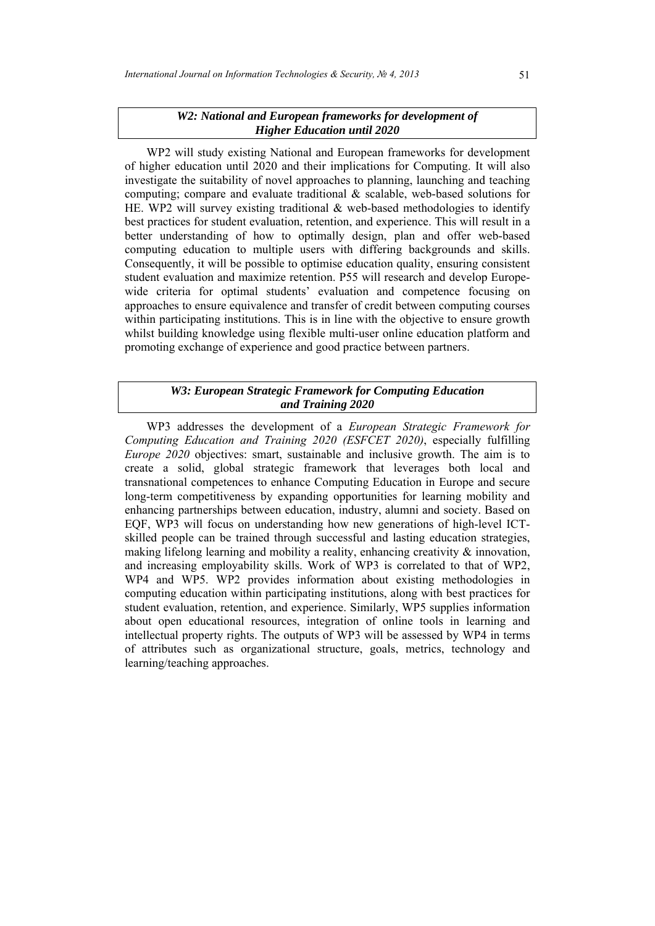### *W2: National and European frameworks for development of Higher Education until 2020*

WP2 will study existing National and European frameworks for development of higher education until 2020 and their implications for Computing. It will also investigate the suitability of novel approaches to planning, launching and teaching computing; compare and evaluate traditional & scalable, web-based solutions for HE. WP2 will survey existing traditional & web-based methodologies to identify best practices for student evaluation, retention, and experience. This will result in a better understanding of how to optimally design, plan and offer web-based computing education to multiple users with differing backgrounds and skills. Consequently, it will be possible to optimise education quality, ensuring consistent student evaluation and maximize retention. P55 will research and develop Europewide criteria for optimal students' evaluation and competence focusing on approaches to ensure equivalence and transfer of credit between computing courses within participating institutions. This is in line with the objective to ensure growth whilst building knowledge using flexible multi-user online education platform and promoting exchange of experience and good practice between partners.

# *W3: European Strategic Framework for Computing Education and Training 2020*

WP3 addresses the development of a *European Strategic Framework for Computing Education and Training 2020 (ESFCET 2020)*, especially fulfilling *Europe 2020* objectives: smart, sustainable and inclusive growth. The aim is to create a solid, global strategic framework that leverages both local and transnational competences to enhance Computing Education in Europe and secure long-term competitiveness by expanding opportunities for learning mobility and enhancing partnerships between education, industry, alumni and society. Based on EQF, WP3 will focus on understanding how new generations of high-level ICTskilled people can be trained through successful and lasting education strategies, making lifelong learning and mobility a reality, enhancing creativity  $\&$  innovation, and increasing employability skills. Work of WP3 is correlated to that of WP2, WP4 and WP5. WP2 provides information about existing methodologies in computing education within participating institutions, along with best practices for student evaluation, retention, and experience. Similarly, WP5 supplies information about open educational resources, integration of online tools in learning and intellectual property rights. The outputs of WP3 will be assessed by WP4 in terms of attributes such as organizational structure, goals, metrics, technology and learning/teaching approaches.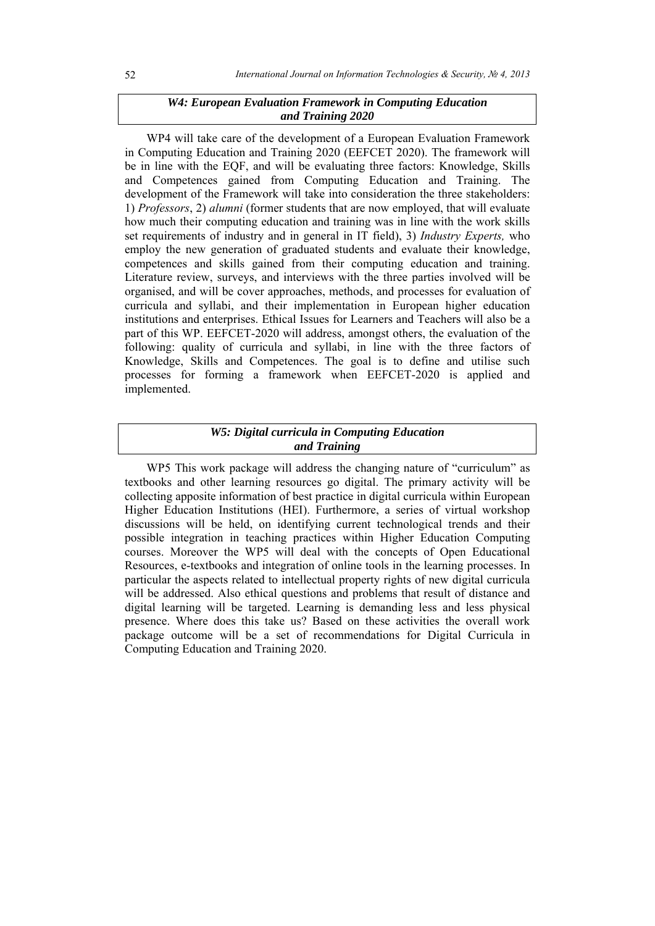# *W4: European Evaluation Framework in Computing Education and Training 2020*

WP4 will take care of the development of a European Evaluation Framework in Computing Education and Training 2020 (EEFCET 2020). The framework will be in line with the EQF, and will be evaluating three factors: Knowledge, Skills and Competences gained from Computing Education and Training. The development of the Framework will take into consideration the three stakeholders: 1) *Professors*, 2) *alumni* (former students that are now employed, that will evaluate how much their computing education and training was in line with the work skills set requirements of industry and in general in IT field), 3) *Industry Experts,* who employ the new generation of graduated students and evaluate their knowledge, competences and skills gained from their computing education and training. Literature review, surveys, and interviews with the three parties involved will be organised, and will be cover approaches, methods, and processes for evaluation of curricula and syllabi, and their implementation in European higher education institutions and enterprises. Ethical Issues for Learners and Teachers will also be a part of this WP. EEFCET-2020 will address, amongst others, the evaluation of the following: quality of curricula and syllabi, in line with the three factors of Knowledge, Skills and Competences. The goal is to define and utilise such processes for forming a framework when EEFCET-2020 is applied and implemented.

# *W5: Digital curricula in Computing Education and Training*

WP5 This work package will address the changing nature of "curriculum" as textbooks and other learning resources go digital. The primary activity will be collecting apposite information of best practice in digital curricula within European Higher Education Institutions (HEI). Furthermore, a series of virtual workshop discussions will be held, on identifying current technological trends and their possible integration in teaching practices within Higher Education Computing courses. Moreover the WP5 will deal with the concepts of Open Educational Resources, e-textbooks and integration of online tools in the learning processes. In particular the aspects related to intellectual property rights of new digital curricula will be addressed. Also ethical questions and problems that result of distance and digital learning will be targeted. Learning is demanding less and less physical presence. Where does this take us? Based on these activities the overall work package outcome will be a set of recommendations for Digital Curricula in Computing Education and Training 2020.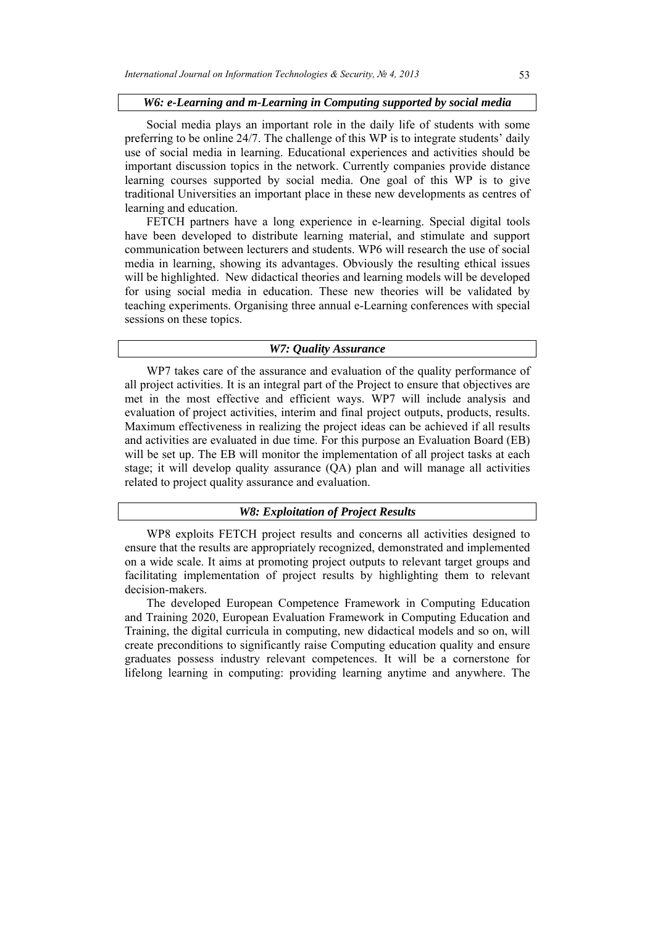#### *W6: e-Learning and m-Learning in Computing supported by social media*

Social media plays an important role in the daily life of students with some preferring to be online 24/7. The challenge of this WP is to integrate students' daily use of social media in learning. Educational experiences and activities should be important discussion topics in the network. Currently companies provide distance learning courses supported by social media. One goal of this WP is to give traditional Universities an important place in these new developments as centres of learning and education.

FETCH partners have a long experience in e-learning. Special digital tools have been developed to distribute learning material, and stimulate and support communication between lecturers and students. WP6 will research the use of social media in learning, showing its advantages. Obviously the resulting ethical issues will be highlighted. New didactical theories and learning models will be developed for using social media in education. These new theories will be validated by teaching experiments. Organising three annual e-Learning conferences with special sessions on these topics.

#### *W7: Quality Assurance*

WP7 takes care of the assurance and evaluation of the quality performance of all project activities. It is an integral part of the Project to ensure that objectives are met in the most effective and efficient ways. WP7 will include analysis and evaluation of project activities, interim and final project outputs, products, results. Maximum effectiveness in realizing the project ideas can be achieved if all results and activities are evaluated in due time. For this purpose an Evaluation Board (EB) will be set up. The EB will monitor the implementation of all project tasks at each stage; it will develop quality assurance (QА) plan and will manage all activities related to project quality assurance and evaluation.

### *W8: Exploitation of Project Results*

WP8 exploits FETCH project results and concerns all activities designed to ensure that the results are appropriately recognized, demonstrated and implemented on a wide scale. It aims at promoting project outputs to relevant target groups and facilitating implementation of project results by highlighting them to relevant decision-makers.

The developed European Competence Framework in Computing Education and Training 2020, European Evaluation Framework in Computing Education and Training, the digital curricula in computing, new didactical models and so on, will create preconditions to significantly raise Computing education quality and ensure graduates possess industry relevant competences. It will be a cornerstone for lifelong learning in computing: providing learning anytime and anywhere. The